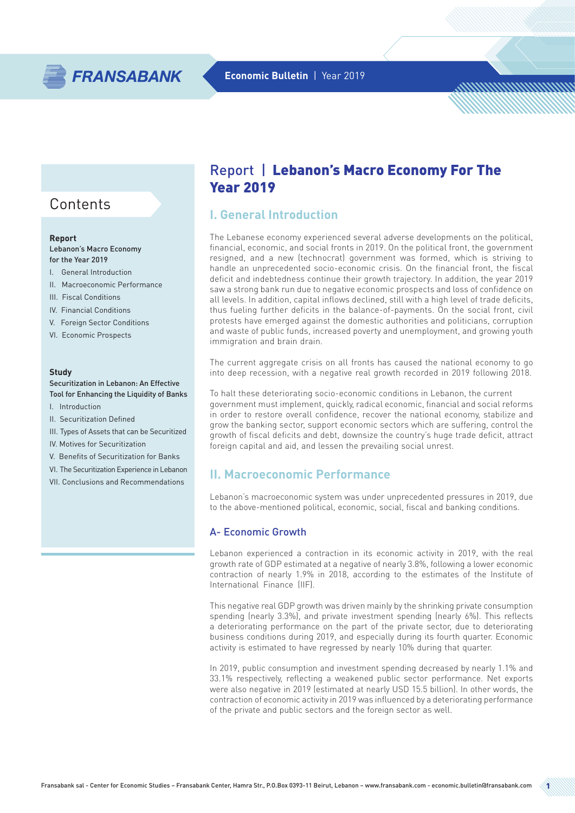

# **Contents**

#### **Report**

Lebanon's Macro Economy for the Year 2019

- I. General Introduction
- II. Macroeconomic Performance
- III. Fiscal Conditions
- IV. Financial Conditions
- V. Foreign Sector Conditions
- VI. Economic Prospects

#### **Study**

#### Securitization in Lebanon: An Effective Tool for Enhancing the Liquidity of Banks

- I. Introduction
- II. Securitization Defined
- III. Types of Assets that can be Securitized
- IV. Motives for Securitization
- V. Benefits of Securitization for Banks
- VI. The Securitization Experience in Lebanon
- VII. Conclusions and Recommendations

# Report | Lebanon's Macro Economy For The Year 2019

# **I. General Introduction**

The Lebanese economy experienced several adverse developments on the political, financial, economic, and social fronts in 2019. On the political front, the government resigned, and a new (technocrat) government was formed, which is striving to handle an unprecedented socio-economic crisis. On the financial front, the fiscal deficit and indebtedness continue their growth trajectory. In addition, the year 2019 saw a strong bank run due to negative economic prospects and loss of confidence on all levels. In addition, capital inflows declined, still with a high level of trade deficits, thus fueling further deficits in the balance-of-payments. On the social front, civil protests have emerged against the domestic authorities and politicians, corruption and waste of public funds, increased poverty and unemployment, and growing youth immigration and brain drain.

The current aggregate crisis on all fronts has caused the national economy to go into deep recession, with a negative real growth recorded in 2019 following 2018.

To halt these deteriorating socio-economic conditions in Lebanon, the current government must implement, quickly, radical economic, financial and social reforms in order to restore overall confidence, recover the national economy, stabilize and grow the banking sector, support economic sectors which are suffering, control the growth of fiscal deficits and debt, downsize the country's huge trade deficit, attract foreign capital and aid, and lessen the prevailing social unrest.

# **II. Macroeconomic Performance**

Lebanon's macroeconomic system was under unprecedented pressures in 2019, due to the above-mentioned political, economic, social, fiscal and banking conditions.

### A- Economic Growth

Lebanon experienced a contraction in its economic activity in 2019, with the real growth rate of GDP estimated at a negative of nearly 3.8%, following a lower economic contraction of nearly 1.9% in 2018, according to the estimates of the Institute of International Finance (IIF).

This negative real GDP growth was driven mainly by the shrinking private consumption spending (nearly 3.3%), and private investment spending (nearly 6%). This reflects a deteriorating performance on the part of the private sector, due to deteriorating business conditions during 2019, and especially during its fourth quarter. Economic activity is estimated to have regressed by nearly 10% during that quarter.

In 2019, public consumption and investment spending decreased by nearly 1.1% and 33.1% respectively, reflecting a weakened public sector performance. Net exports were also negative in 2019 (estimated at nearly USD 15.5 billion). In other words, the contraction of economic activity in 2019 was influenced by a deteriorating performance of the private and public sectors and the foreign sector as well.

http://www.com/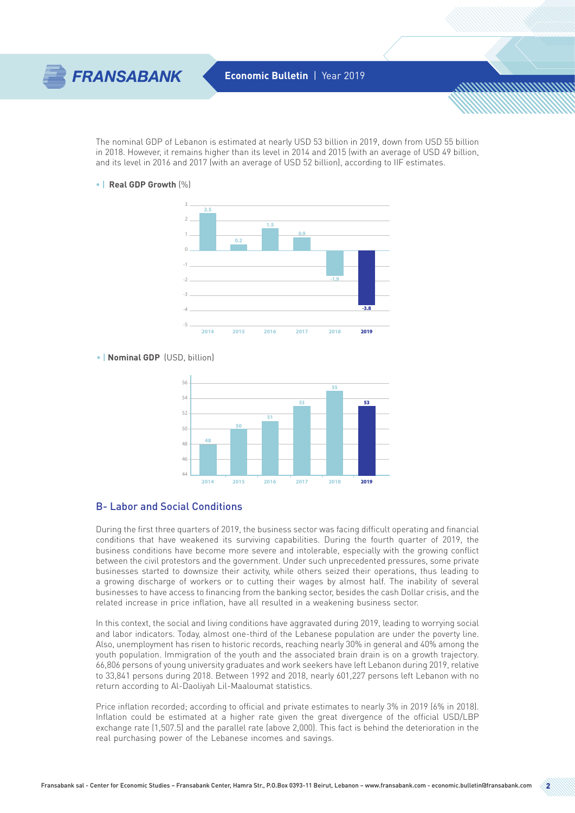

The nominal GDP of Lebanon is estimated at nearly USD 53 billion in 2019, down from USD 55 billion in 2018. However, it remains higher than its level in 2014 and 2015 (with an average of USD 49 billion, and its level in 2016 and 2017 (with an average of USD 52 billion), according to IIF estimates.

**• | Real GDP Growth** (%)



#### **• | Nominal GDP** (USD, billion)



#### B- Labor and Social Conditions

During the first three quarters of 2019, the business sector was facing difficult operating and financial conditions that have weakened its surviving capabilities. During the fourth quarter of 2019, the business conditions have become more severe and intolerable, especially with the growing conflict between the civil protestors and the government. Under such unprecedented pressures, some private businesses started to downsize their activity, while others seized their operations, thus leading to a growing discharge of workers or to cutting their wages by almost half. The inability of several businesses to have access to financing from the banking sector, besides the cash Dollar crisis, and the related increase in price inflation, have all resulted in a weakening business sector.

In this context, the social and living conditions have aggravated during 2019, leading to worrying social and labor indicators. Today, almost one-third of the Lebanese population are under the poverty line. Also, unemployment has risen to historic records, reaching nearly 30% in general and 40% among the youth population. Immigration of the youth and the associated brain drain is on a growth trajectory. 66,806 persons of young university graduates and work seekers have left Lebanon during 2019, relative to 33,841 persons during 2018. Between 1992 and 2018, nearly 601,227 persons left Lebanon with no return according to Al-Daoliyah Lil-Maaloumat statistics.

Price inflation recorded; according to official and private estimates to nearly 3% in 2019 (6% in 2018). Inflation could be estimated at a higher rate given the great divergence of the official USD/LBP exchange rate (1,507.5) and the parallel rate (above 2,000). This fact is behind the deterioration in the real purchasing power of the Lebanese incomes and savings.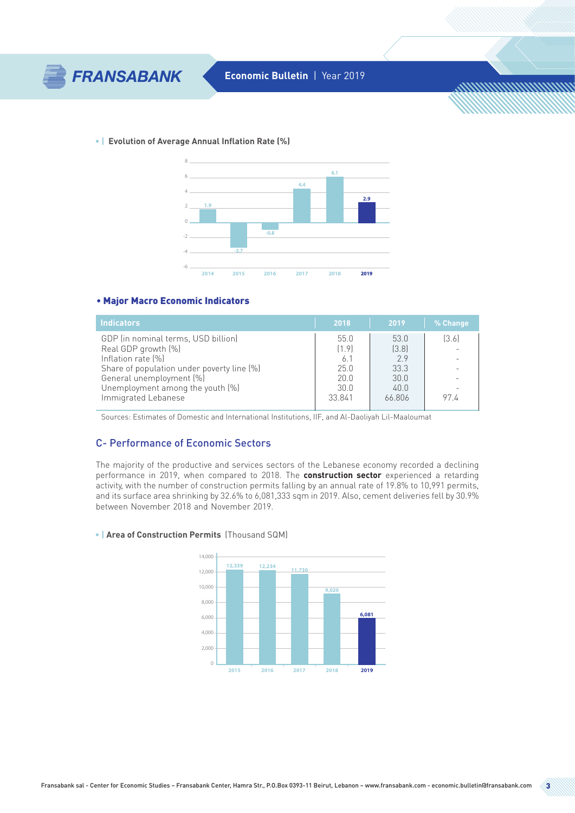

**• | Evolution of Average Annual Inflation Rate (%)**



#### • Major Macro Economic Indicators

| <b>Indicators</b>                          | 2018   | 2019   | % Change |
|--------------------------------------------|--------|--------|----------|
| GDP (in nominal terms, USD billion)        | 55.0   | 53.0   | [3.6]    |
| Real GDP growth [%]                        | [1.9]  | [3.8]  |          |
| Inflation rate [%]                         | 6.1    | 29     |          |
| Share of population under poverty line [%] | 250    | 33.3   |          |
| General unemployment [%]                   | 200    | 300    |          |
| Unemployment among the youth [%]           | 300    | 40.0   |          |
| Immigrated Lebanese                        | 33.841 | 66.806 | 974      |

Sources: Estimates of Domestic and International Institutions, IIF, and Al-Daoliyah Lil-Maaloumat

# C- Performance of Economic Sectors

The majority of the productive and services sectors of the Lebanese economy recorded a declining performance in 2019, when compared to 2018. The **construction sector** experienced a retarding activity, with the number of construction permits falling by an annual rate of 19.8% to 10,991 permits, and its surface area shrinking by 32.6% to 6,081,333 sqm in 2019. Also, cement deliveries fell by 30.9% between November 2018 and November 2019.

#### **• | Area of Construction Permits** (Thousand SQM)



<u>MMMMMMMMm</u>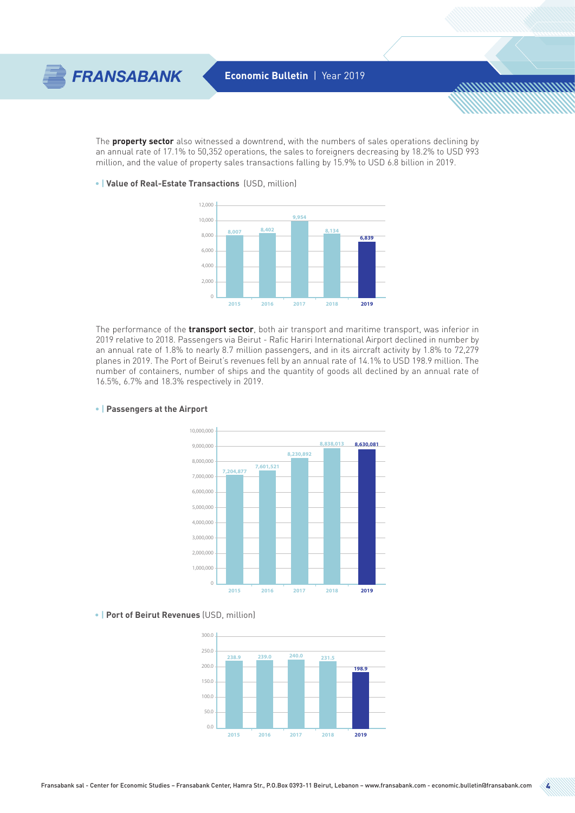

The **property sector** also witnessed a downtrend, with the numbers of sales operations declining by an annual rate of 17.1% to 50,352 operations, the sales to foreigners decreasing by 18.2% to USD 993 million, and the value of property sales transactions falling by 15.9% to USD 6.8 billion in 2019.

**• | Value of Real-Estate Transactions** (USD, million)



The performance of the **transport sector**, both air transport and maritime transport, was inferior in 2019 relative to 2018. Passengers via Beirut - Rafic Hariri International Airport declined in number by an annual rate of 1.8% to nearly 8.7 million passengers, and in its aircraft activity by 1.8% to 72,279 planes in 2019. The Port of Beirut's revenues fell by an annual rate of 14.1% to USD 198.9 million. The number of containers, number of ships and the quantity of goods all declined by an annual rate of 16.5%, 6.7% and 18.3% respectively in 2019.



#### **• | Passengers at the Airport**

**• | Port of Beirut Revenues** (USD, million)

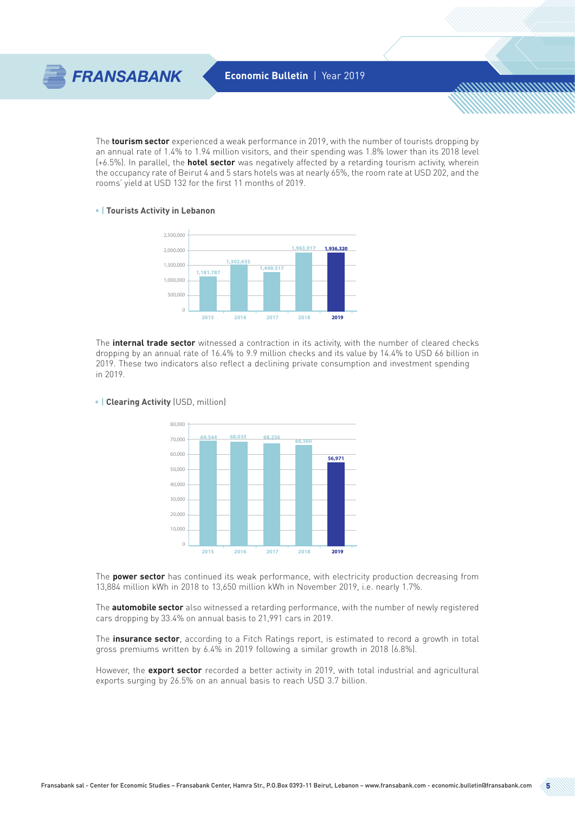

The **tourism sector** experienced a weak performance in 2019, with the number of tourists dropping by an annual rate of 1.4% to 1.94 million visitors, and their spending was 1.8% lower than its 2018 level (+6.5%). In parallel, the **hotel sector** was negatively affected by a retarding tourism activity, wherein the occupancy rate of Beirut 4 and 5 stars hotels was at nearly 65%, the room rate at USD 202, and the rooms' yield at USD 132 for the first 11 months of 2019.

#### **• | Tourists Activity in Lebanon**



The **internal trade sector** witnessed a contraction in its activity, with the number of cleared checks dropping by an annual rate of 16.4% to 9.9 million checks and its value by 14.4% to USD 66 billion in 2019. These two indicators also reflect a declining private consumption and investment spending in 2019.



#### **• | Clearing Activity** (USD, million)

The **power sector** has continued its weak performance, with electricity production decreasing from 13,884 million kWh in 2018 to 13,650 million kWh in November 2019, i.e. nearly 1.7%.

The **automobile sector** also witnessed a retarding performance, with the number of newly registered cars dropping by 33.4% on annual basis to 21,991 cars in 2019.

The **insurance sector**, according to a Fitch Ratings report, is estimated to record a growth in total gross premiums written by 6.4% in 2019 following a similar growth in 2018 (6.8%).

However, the **export sector** recorded a better activity in 2019, with total industrial and agricultural exports surging by 26.5% on an annual basis to reach USD 3.7 billion.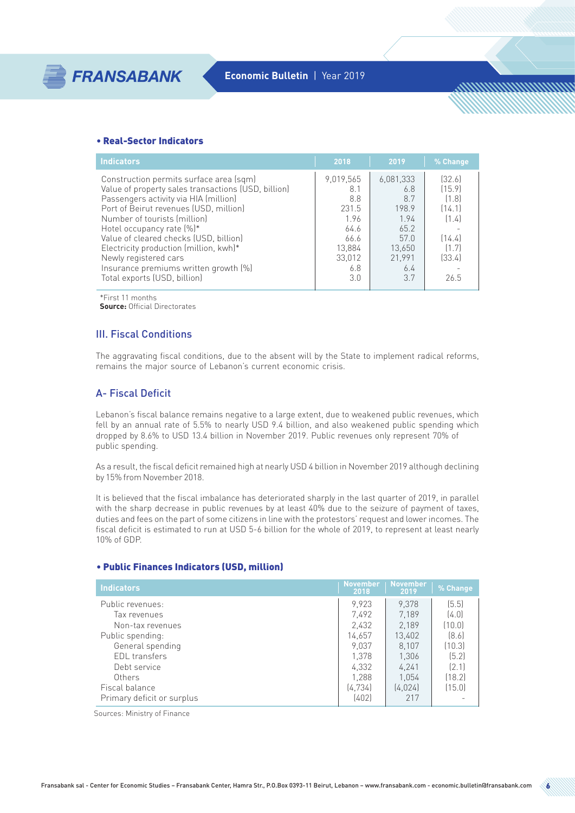#### • Real-Sector Indicators

| <b>Indicators</b>                                                                                                                                                                                                  | 2018                                           | 2019                                          | % Change                                     |
|--------------------------------------------------------------------------------------------------------------------------------------------------------------------------------------------------------------------|------------------------------------------------|-----------------------------------------------|----------------------------------------------|
| Construction permits surface area (sqm)<br>Value of property sales transactions (USD, billion)<br>Passengers activity via HIA (million)<br>Port of Beirut revenues (USD, million)<br>Number of tourists (million)  | 9,019,565<br>8.1<br>8.8<br>231.5<br>1.96       | 6.081.333<br>6.8<br>8.7<br>198.9<br>1.94      | [32.6]<br>(15.9)<br>(1.8)<br>(14.1)<br>(1.4) |
| Hotel occupancy rate $[%]^*$<br>Value of cleared checks (USD, billion)<br>Electricity production (million, kwh)*<br>Newly registered cars<br>Insurance premiums written growth [%]<br>Total exports (USD, billion) | 64.6<br>66.6<br>13,884<br>33,012<br>6.8<br>3.0 | 65.2<br>57.0<br>13.650<br>21.991<br>6.4<br>37 | (14.4)<br>(1.7)<br>(33.4)<br>26.5            |

\*First 11 months

**Source:** Official Directorates

### III. Fiscal Conditions

The aggravating fiscal conditions, due to the absent will by the State to implement radical reforms, remains the major source of Lebanon's current economic crisis.

# A- Fiscal Deficit

Lebanon's fiscal balance remains negative to a large extent, due to weakened public revenues, which fell by an annual rate of 5.5% to nearly USD 9.4 billion, and also weakened public spending which dropped by 8.6% to USD 13.4 billion in November 2019. Public revenues only represent 70% of public spending.

As a result, the fiscal deficit remained high at nearly USD 4 billion in November 2019 although declining by 15% from November 2018.

It is believed that the fiscal imbalance has deteriorated sharply in the last quarter of 2019, in parallel with the sharp decrease in public revenues by at least 40% due to the seizure of payment of taxes, duties and fees on the part of some citizens in line with the protestors' request and lower incomes. The fiscal deficit is estimated to run at USD 5-6 billion for the whole of 2019, to represent at least nearly 10% of GDP.

#### • Public Finances Indicators (USD, million)

| <b>Indicators</b>          | <b>November</b><br>2018 | <b>November</b><br>2019 | % Change |
|----------------------------|-------------------------|-------------------------|----------|
| Public revenues:           | 9.923                   | 9.378                   | (5.5)    |
| Tax revenues               | 7,492                   | 7,189                   | (4.0)    |
| Non-tax revenues           | 2,432                   | 2.189                   | (10.0)   |
| Public spending:           | 14,657                  | 13,402                  | [8.6]    |
| General spending           | 9,037                   | 8.107                   | (10.3)   |
| EDL transfers              | 1.378                   | 1,306                   | (5.2)    |
| Debt service               | 4,332                   | 4,241                   | [2.1]    |
| Others                     | 1.288                   | 1,054                   | [18.2]   |
| Fiscal balance             | (4, 734)                | (4.024)                 | (15.0)   |
| Primary deficit or surplus | (402)                   | 217                     |          |

Sources: Ministry of Finance

<u>MMMMMMMMm</u>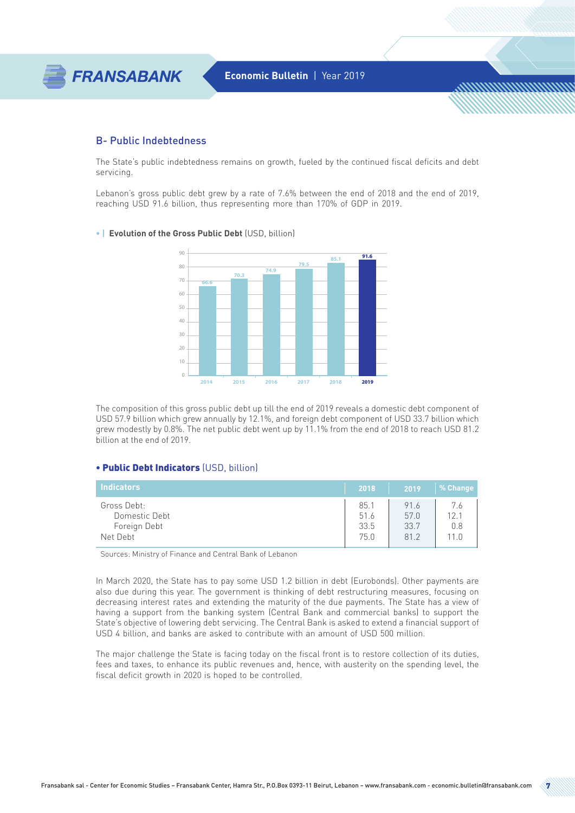

#### B- Public Indebtedness

The State's public indebtedness remains on growth, fueled by the continued fiscal deficits and debt servicing.

Lebanon's gross public debt grew by a rate of 7.6% between the end of 2018 and the end of 2019, reaching USD 91.6 billion, thus representing more than 170% of GDP in 2019.

#### **• | Evolution of the Gross Public Debt** (USD, billion)



The composition of this gross public debt up till the end of 2019 reveals a domestic debt component of USD 57.9 billion which grew annually by 12.1%, and foreign debt component of USD 33.7 billion which grew modestly by 0.8%. The net public debt went up by 11.1% from the end of 2018 to reach USD 81.2 billion at the end of 2019.

#### • Public Debt Indicators (USD, billion)

| Indicators                    | 2018         | 2019         | % Change               |
|-------------------------------|--------------|--------------|------------------------|
| Gross Debt:                   | 85.1         | 91.6         | 76                     |
| Domestic Debt<br>Foreign Debt | 51.6<br>33.5 | 57.0<br>33.7 | 12 <sub>1</sub><br>0.8 |
| Net Debt                      | 75.0         | 81.2         | 11 <sub>0</sub>        |

Sources: Ministry of Finance and Central Bank of Lebanon

In March 2020, the State has to pay some USD 1.2 billion in debt (Eurobonds). Other payments are also due during this year. The government is thinking of debt restructuring measures, focusing on decreasing interest rates and extending the maturity of the due payments. The State has a view of having a support from the banking system (Central Bank and commercial banks) to support the State's objective of lowering debt servicing. The Central Bank is asked to extend a financial support of USD 4 billion, and banks are asked to contribute with an amount of USD 500 million.

The major challenge the State is facing today on the fiscal front is to restore collection of its duties, fees and taxes, to enhance its public revenues and, hence, with austerity on the spending level, the fiscal deficit growth in 2020 is hoped to be controlled.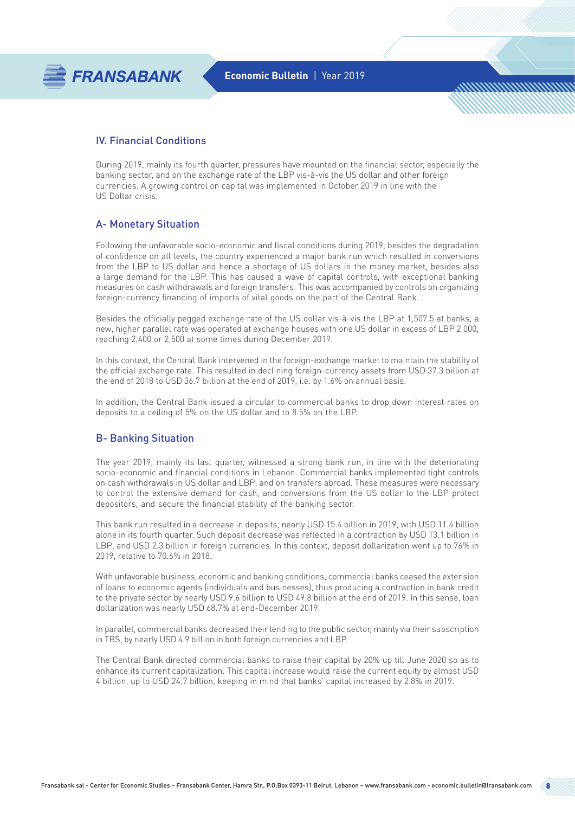

## IV. Financial Conditions

During 2019, mainly its fourth quarter, pressures have mounted on the financial sector, especially the banking sector, and on the exchange rate of the LBP vis-à-vis the US dollar and other foreign currencies. A growing control on capital was implemented in October 2019 in line with the US Dollar crisis.

### A- Monetary Situation

Following the unfavorable socio-economic and fiscal conditions during 2019, besides the degradation of confidence on all levels, the country experienced a major bank run which resulted in conversions from the LBP to US dollar and hence a shortage of US dollars in the money market, besides also a large demand for the LBP. This has caused a wave of capital controls, with exceptional banking measures on cash withdrawals and foreign transfers. This was accompanied by controls on organizing foreign-currency financing of imports of vital goods on the part of the Central Bank.

Besides the officially pegged exchange rate of the US dollar vis-à-vis the LBP at 1,507.5 at banks, a new, higher parallel rate was operated at exchange houses with one US dollar in excess of LBP 2,000, reaching 2,400 or 2,500 at some times during December 2019.

In this context, the Central Bank intervened in the foreign-exchange market to maintain the stability of the official exchange rate. This resulted in declining foreign-currency assets from USD 37.3 billion at the end of 2018 to USD 36.7 billion at the end of 2019, i.e. by 1.6% on annual basis.

In addition, the Central Bank issued a circular to commercial banks to drop down interest rates on deposits to a ceiling of 5% on the US dollar and to 8.5% on the LBP.

### B- Banking Situation

The year 2019, mainly its last quarter, witnessed a strong bank run, in line with the deteriorating socio-economic and financial conditions in Lebanon. Commercial banks implemented tight controls on cash withdrawals in US dollar and LBP, and on transfers abroad. These measures were necessary to control the extensive demand for cash, and conversions from the US dollar to the LBP protect depositors, and secure the financial stability of the banking sector.

This bank run resulted in a decrease in deposits, nearly USD 15.4 billion in 2019, with USD 11.4 billion alone in its fourth quarter. Such deposit decrease was reflected in a contraction by USD 13.1 billion in LBP, and USD 2.3 billion in foreign currencies. In this context, deposit dollarization went up to 76% in 2019, relative to 70.6% in 2018.

With unfavorable business, economic and banking conditions, commercial banks ceased the extension of loans to economic agents (individuals and businesses), thus producing a contraction in bank credit to the private sector by nearly USD 9.6 billion to USD 49.8 billion at the end of 2019. In this sense, loan dollarization was nearly USD 68.7% at end-December 2019.

In parallel, commercial banks decreased their lending to the public sector, mainly via their subscription in TBS, by nearly USD 4.9 billion in both foreign currencies and LBP.

The Central Bank directed commercial banks to raise their capital by 20% up till June 2020 so as to enhance its current capitalization. This capital increase would raise the current equity by almost USD 4 billion, up to USD 24.7 billion, keeping in mind that banks' capital increased by 2.8% in 2019.

<u>MMMMMMMMm</u>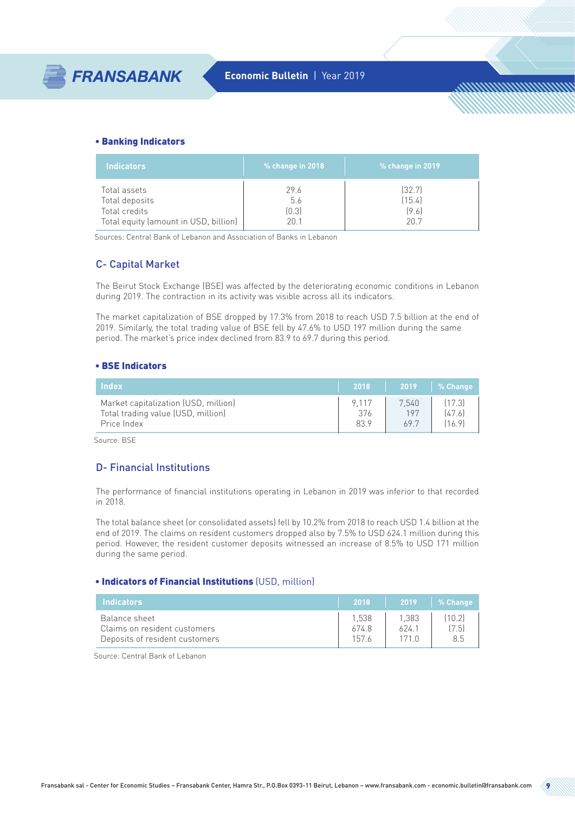<u>MMMMMMMMm</u>

#### • Banking Indicators

| <b>Indicators</b>                     | % change in 2018 | % change in 2019 |
|---------------------------------------|------------------|------------------|
| Total assets                          | 29.6             | [32.7]           |
| Total deposits                        | 5.6              | (15.4)           |
| Total credits                         | [0.3]            | (9.6)            |
| Total equity (amount in USD, billion) | 20.1             | 207              |

Sources: Central Bank of Lebanon and Association of Banks in Lebanon

### C- Capital Market

The Beirut Stock Exchange (BSE) was affected by the deteriorating economic conditions in Lebanon during 2019. The contraction in its activity was visible across all its indicators.

The market capitalization of BSE dropped by 17.3% from 2018 to reach USD 7.5 billion at the end of 2019. Similarly, the total trading value of BSE fell by 47.6% to USD 197 million during the same period. The market's price index declined from 83.9 to 69.7 during this period.

#### • BSE Indicators

| <b>Index</b>                         | 2018    | 2019  | 1 % Change |
|--------------------------------------|---------|-------|------------|
| Market capitalization (USD, million) | 9 1 1 7 | 7.540 | [17.3]     |
| Total trading value (USD, million)   | 376     | 197   | [47.6]     |
| Price Index                          | 83.9    | 69.7  | 16.9       |

Source: BSE

# D- Financial Institutions

The performance of financial institutions operating in Lebanon in 2019 was inferior to that recorded in 2018.

The total balance sheet (or consolidated assets) fell by 10.2% from 2018 to reach USD 1.4 billion at the end of 2019. The claims on resident customers dropped also by 7.5% to USD 624.1 million during this period. However, the resident customer deposits witnessed an increase of 8.5% to USD 171 million during the same period.

#### • Indicators of Financial Institutions (USD, million)

| <b>Indicators</b>                                                               | 2018                   | 2019          | % Change              |
|---------------------------------------------------------------------------------|------------------------|---------------|-----------------------|
| Balance sheet<br>Claims on resident customers<br>Deposits of resident customers | 1.538<br>674.8<br>1576 | 1.383<br>624. | (10.2)<br>(7.5)<br>85 |

Source: Central Bank of Lebanon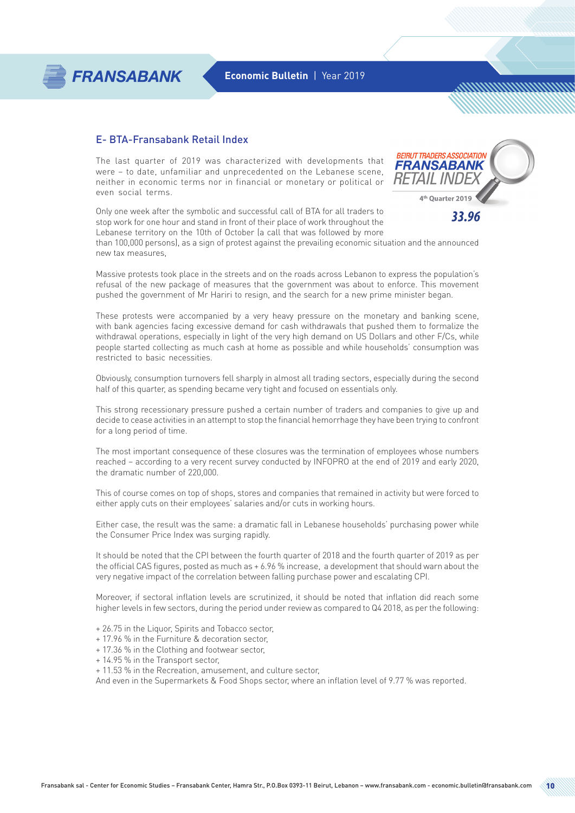

### E- BTA-Fransabank Retail Index

**FRANSABANK** 

The last quarter of 2019 was characterized with developments that were – to date, unfamiliar and unprecedented on the Lebanese scene, neither in economic terms nor in financial or monetary or political or even social terms.



*MMMMMMMMWW* 

Only one week after the symbolic and successful call of BTA for all traders to stop work for one hour and stand in front of their place of work throughout the Lebanese territory on the 10th of October (a call that was followed by more

than 100,000 persons), as a sign of protest against the prevailing economic situation and the announced new tax measures,

Massive protests took place in the streets and on the roads across Lebanon to express the population's refusal of the new package of measures that the government was about to enforce. This movement pushed the government of Mr Hariri to resign, and the search for a new prime minister began.

These protests were accompanied by a very heavy pressure on the monetary and banking scene, with bank agencies facing excessive demand for cash withdrawals that pushed them to formalize the withdrawal operations, especially in light of the very high demand on US Dollars and other F/Cs, while people started collecting as much cash at home as possible and while households' consumption was restricted to basic necessities.

Obviously, consumption turnovers fell sharply in almost all trading sectors, especially during the second half of this quarter, as spending became very tight and focused on essentials only.

This strong recessionary pressure pushed a certain number of traders and companies to give up and decide to cease activities in an attempt to stop the financial hemorrhage they have been trying to confront for a long period of time.

The most important consequence of these closures was the termination of employees whose numbers reached – according to a very recent survey conducted by INFOPRO at the end of 2019 and early 2020, the dramatic number of 220,000.

This of course comes on top of shops, stores and companies that remained in activity but were forced to either apply cuts on their employees' salaries and/or cuts in working hours.

Either case, the result was the same: a dramatic fall in Lebanese households' purchasing power while the Consumer Price Index was surging rapidly.

It should be noted that the CPI between the fourth quarter of 2018 and the fourth quarter of 2019 as per the official CAS figures, posted as much as + 6.96 % increase, a development that should warn about the very negative impact of the correlation between falling purchase power and escalating CPI.

Moreover, if sectoral inflation levels are scrutinized, it should be noted that inflation did reach some higher levels in few sectors, during the period under review as compared to Q4 2018, as per the following:

- + 26.75 in the Liquor, Spirits and Tobacco sector,
- + 17.96 % in the Furniture & decoration sector,
- + 17.36 % in the Clothing and footwear sector,
- + 14.95 % in the Transport sector,
- + 11.53 % in the Recreation, amusement, and culture sector,

And even in the Supermarkets & Food Shops sector, where an inflation level of 9.77 % was reported.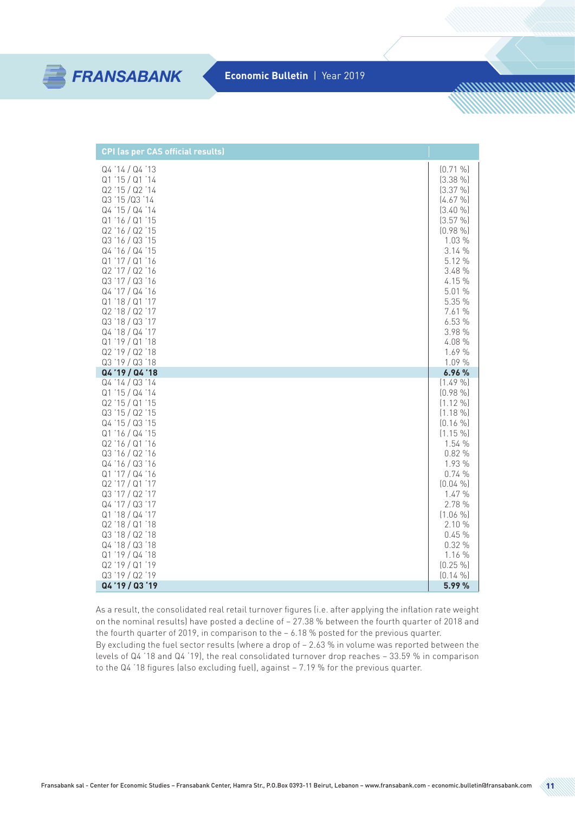

<u>MANAMANININA A</u>

| <b>CPI</b> (as per CAS official results)                                                                                                                                                                                                                                                                                                                                |                                                                                                                                                                                                                          |
|-------------------------------------------------------------------------------------------------------------------------------------------------------------------------------------------------------------------------------------------------------------------------------------------------------------------------------------------------------------------------|--------------------------------------------------------------------------------------------------------------------------------------------------------------------------------------------------------------------------|
| Q4 '14 / Q4 '13<br>Q1'15/Q1'14<br>Q2 '15 / Q2 '14<br>Q3 '15 /Q3 '14<br>Q4 '15 / Q4 '14<br>Q1 '16 / Q1 '15<br>Q2 '16 / Q2 '15<br>Q3 '16 / Q3 '15<br>Q4 '16 / Q4 '15<br>Q1'17/Q1'16<br>Q2 '17 / Q2 '16<br>Q3 '17 / Q3 '16<br>Q4 '17 / Q4 '16<br>Q1'18 / Q1'17<br>Q2'18 / Q2'17<br>Q3 '18 / Q3 '17<br>Q4 '18 / Q4 '17<br>Q1'19'Q1'18<br>Q2 '19 / Q2 '18<br>Q3 '19 / Q3 '18 | $(0.71\%$<br>$(3.38\% )$<br>$(3.37\%)$<br>$[4.67\%]$<br>(3.40%<br>(3.57 %)<br>$(0.98\%$<br>1.03 %<br>3.14 %<br>5.12 %<br>3.48 %<br>4.15 %<br>5.01 %<br>5.35 %<br>7.61 %<br>6.53%<br>3.98 %<br>4.08 %<br>1.69 %<br>1.09 % |
| Q4'19 / Q4'18                                                                                                                                                                                                                                                                                                                                                           | 6.96 %                                                                                                                                                                                                                   |
| Q4 '14 / Q3 '14<br>Q1 '15 / Q4 '14<br>Q2 '15 / Q1 '15<br>Q3 '15 / Q2 '15                                                                                                                                                                                                                                                                                                | $(1.49\%$<br>$(0.98\%$<br>$(1.12\%$                                                                                                                                                                                      |
| Q4'15/Q3'15<br>Q1 '16 / Q4 '15<br>Q2'16/Q1'16<br>Q3 '16 / Q2 '16<br>Q4 '16 / Q3 '16<br>Q1 '17 / Q4 '16<br>Q2 '17 / Q1 '17<br>Q3 '17 / Q2 '17<br>Q4 '17 / Q3 '17<br>Q1'18/Q4'17<br>Q2 '18 / Q1 '18                                                                                                                                                                       | $(1.18\%$<br>$(0.16\%$<br>$(1.15\% )$<br>1.54 %<br>0.82%<br>1.93 %<br>0.74%<br>$(0.04\%$<br>1.47 %<br>2.78 %<br>$(1.06\%$<br>2.10 %                                                                                      |
| Q3 '18 / Q2 '18<br>Q4 '18 / Q3 '18<br>Q1 '19 / Q4 '18                                                                                                                                                                                                                                                                                                                   | 0.45%<br>0.32%<br>1.16 %                                                                                                                                                                                                 |
| Q2 '19 / Q1 '19<br>Q3 '19 / Q2 '19<br>Q4'19 / Q3'19                                                                                                                                                                                                                                                                                                                     | $(0.25\% )$<br>$(0.14\%$<br>5.99 %                                                                                                                                                                                       |

As a result, the consolidated real retail turnover figures (i.e. after applying the inflation rate weight on the nominal results) have posted a decline of – 27.38 % between the fourth quarter of 2018 and the fourth quarter of 2019, in comparison to the – 6.18 % posted for the previous quarter.

By excluding the fuel sector results (where a drop of – 2.63 % in volume was reported between the levels of Q4 '18 and Q4 '19), the real consolidated turnover drop reaches – 33.59 % in comparison to the Q4 '18 figures (also excluding fuel), against – 7.19 % for the previous quarter.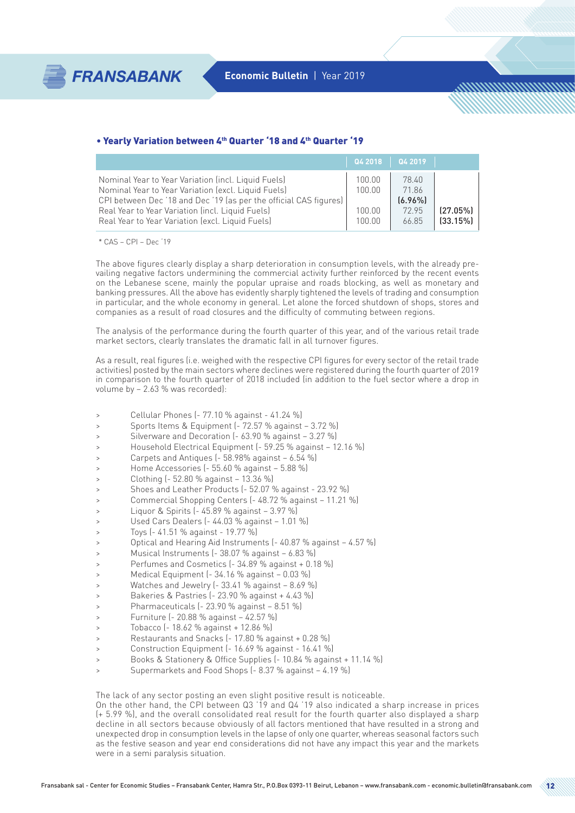<u>MMMMMMMMMh</u>

#### • Yearly Variation between 4th Quarter '18 and 4th Quarter '19

|                                                                                                                                                                                                                                                                                         | $\sqrt{042018}$                     | Q4 2019                                        |                      |
|-----------------------------------------------------------------------------------------------------------------------------------------------------------------------------------------------------------------------------------------------------------------------------------------|-------------------------------------|------------------------------------------------|----------------------|
| Nominal Year to Year Variation (incl. Liquid Fuels)<br>Nominal Year to Year Variation (excl. Liquid Fuels)<br>CPI between Dec '18 and Dec '19 (as per the official CAS figures)<br>Real Year to Year Variation (incl. Liquid Fuels)<br>Real Year to Year Variation (excl. Liquid Fuels) | 100.00<br>100.00<br>100.00<br>10000 | 78.40<br>71.86<br>$(6.96\%)$<br>72.95<br>66.85 | (27.05%)<br>(33.15%) |

\* CAS – CPI – Dec '19

The above figures clearly display a sharp deterioration in consumption levels, with the already prevailing negative factors undermining the commercial activity further reinforced by the recent events on the Lebanese scene, mainly the popular upraise and roads blocking, as well as monetary and banking pressures. All the above has evidently sharply tightened the levels of trading and consumption in particular, and the whole economy in general. Let alone the forced shutdown of shops, stores and companies as a result of road closures and the difficulty of commuting between regions.

The analysis of the performance during the fourth quarter of this year, and of the various retail trade market sectors, clearly translates the dramatic fall in all turnover figures.

As a result, real figures (i.e. weighed with the respective CPI figures for every sector of the retail trade activities) posted by the main sectors where declines were registered during the fourth quarter of 2019 in comparison to the fourth quarter of 2018 included (in addition to the fuel sector where a drop in volume by – 2.63 % was recorded):

- > Cellular Phones (- 77.10 % against 41.24 %)
- > Sports Items & Equipment (- 72.57 % against 3.72 %)
- Silverware and Decoration (- 63.90 % against 3.27 %)
- Household Electrical Equipment (- 59.25 % against 12.16 %)
- Carpets and Antiques ( $-58.98\%$  against  $-6.54\%$ )
- > Home Accessories (- 55.60 % against 5.88 %)
- > Clothing (- 52.80 % against 13.36 %)
- > Shoes and Leather Products (- 52.07 % against 23.92 %)
- > Commercial Shopping Centers (- 48.72 % against 11.21 %)
- > Liquor & Spirits (- 45.89 % against 3.97 %)
- > Used Cars Dealers (- 44.03 % against 1.01 %)
- > Toys (- 41.51 % against 19.77 %)
- > Optical and Hearing Aid Instruments (- 40.87 % against 4.57 %)
- > Musical Instruments (- 38.07 % against 6.83 %)
- > Perfumes and Cosmetics (- 34.89 % against + 0.18 %)
- > Medical Equipment (- 34.16 % against 0.03 %)
- > Watches and Jewelry (- 33.41 % against 8.69 %)
- > Bakeries & Pastries (- 23.90 % against + 4.43 %)
- > Pharmaceuticals (- 23.90 % against 8.51 %)
- > Furniture (- 20.88 % against 42.57 %)
- > Tobacco (- 18.62 % against + 12.86 %)
- > Restaurants and Snacks (- 17.80 % against + 0.28 %)
- > Construction Equipment (- 16.69 % against 16.41 %)
- > Books & Stationery & Office Supplies (- 10.84 % against + 11.14 %)
- Supermarkets and Food Shops (- 8.37 % against 4.19 %)

The lack of any sector posting an even slight positive result is noticeable.

On the other hand, the CPI between Q3 '19 and Q4 '19 also indicated a sharp increase in prices (+ 5.99 %), and the overall consolidated real result for the fourth quarter also displayed a sharp decline in all sectors because obviously of all factors mentioned that have resulted in a strong and unexpected drop in consumption levels in the lapse of only one quarter, whereas seasonal factors such as the festive season and year end considerations did not have any impact this year and the markets were in a semi paralysis situation.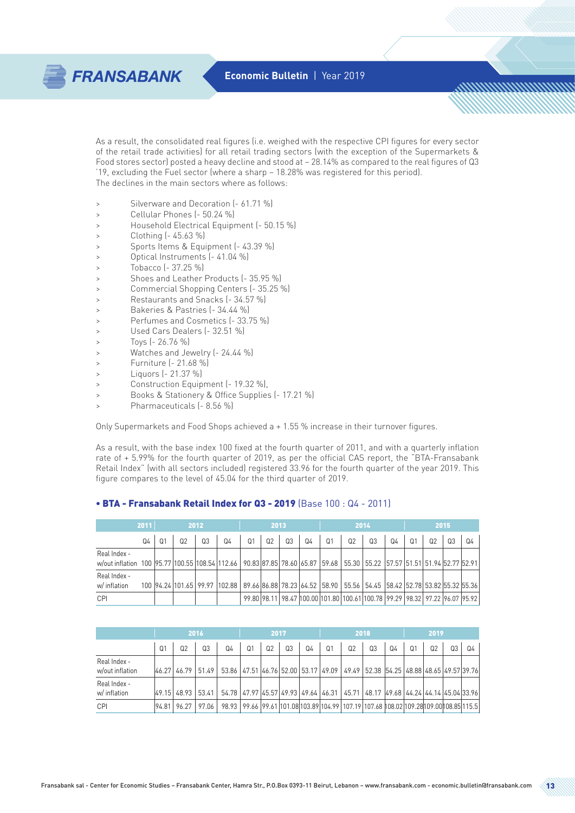http://www.com/

As a result, the consolidated real figures (i.e. weighed with the respective CPI figures for every sector of the retail trade activities) for all retail trading sectors (with the exception of the Supermarkets & Food stores sector) posted a heavy decline and stood at – 28.14% as compared to the real figures of Q3 '19, excluding the Fuel sector (where a sharp – 18.28% was registered for this period). The declines in the main sectors where as follows:

- > Silverware and Decoration (- 61.71 %)
- > Cellular Phones (- 50.24 %)
- > Household Electrical Equipment (- 50.15 %)
- > Clothing (- 45.63 %)

**FRANSABANK** 

- > Sports Items & Equipment (- 43.39 %)
- Optical Instruments (- 41.04 %)
- > Tobacco (- 37.25 %)
- > Shoes and Leather Products (- 35.95 %)
- > Commercial Shopping Centers (- 35.25 %)
- > Restaurants and Snacks (- 34.57 %)
- > Bakeries & Pastries (- 34.44 %)
- > Perfumes and Cosmetics (- 33.75 %)
- > Used Cars Dealers (- 32.51 %)
- > Toys (- 26.76 %)
- > Watches and Jewelry (- 24.44 %)
- > Furniture (- 21.68 %)
- > Liquors (- 21.37 %)
- > Construction Equipment (- 19.32 %),
- > Books & Stationery & Office Supplies (- 17.21 %)
- > Pharmaceuticals (- 8.56 %)

Only Supermarkets and Food Shops achieved a + 1.55 % increase in their turnover figures.

As a result, with the base index 100 fixed at the fourth quarter of 2011, and with a quarterly inflation rate of + 5.99% for the fourth quarter of 2019, as per the official CAS report, the "BTA-Fransabank Retail Index" (with all sectors included) registered 33.96 for the fourth quarter of the year 2019. This figure compares to the level of 45.04 for the third quarter of 2019.

#### • BTA - Fransabank Retail Index for Q3 - 2019 (Base 100 : Q4 - 2011)

|                                                                                                                                        | 2011 | 2012           |    |    | 2013                                                                                               |                |    |                | 2014           |                |                | 2015                                                                        |    |  |                |    |    |
|----------------------------------------------------------------------------------------------------------------------------------------|------|----------------|----|----|----------------------------------------------------------------------------------------------------|----------------|----|----------------|----------------|----------------|----------------|-----------------------------------------------------------------------------|----|--|----------------|----|----|
|                                                                                                                                        | Q4   | Q <sub>1</sub> | 02 | Q3 | Q4                                                                                                 | Q <sub>1</sub> | Q2 | Q <sub>3</sub> | Q <sub>4</sub> | Q <sub>1</sub> | Q <sub>2</sub> | Q3                                                                          | Q4 |  | Q <sub>2</sub> | Q3 | Q4 |
| Real Index -<br>w/out inflation 100 95.77 100.55 108.54 112.66 90.83 87.85 78.60 65.87 59.68 55.30 55.22 57.57 51.51 51.94 52.77 52.91 |      |                |    |    |                                                                                                    |                |    |                |                |                |                |                                                                             |    |  |                |    |    |
| Real Index -<br>w/ inflation                                                                                                           |      |                |    |    | 100 94.24 101.65 99.97 102.88 89.66 88 78.23 64.52 58.90 55.56 54.45 58.42 52.78 53.82 55.32 55.36 |                |    |                |                |                |                |                                                                             |    |  |                |    |    |
| <b>CPI</b>                                                                                                                             |      |                |    |    |                                                                                                    |                |    |                |                |                |                | 99.80 98.11 98.47 100.00 101.80 100.61 100.78 99.29 98.32 97.22 96.07 95.92 |    |  |                |    |    |

|                                 | 2016           |                   |       | 2017                                                                                                                         |                |                |    |    | 2018           |                                                                                  |                |    | 2019           |                |                |       |
|---------------------------------|----------------|-------------------|-------|------------------------------------------------------------------------------------------------------------------------------|----------------|----------------|----|----|----------------|----------------------------------------------------------------------------------|----------------|----|----------------|----------------|----------------|-------|
|                                 | Q <sub>1</sub> | Ი2                | 0.3   | Q4                                                                                                                           | Q <sub>1</sub> | Q <sub>2</sub> | Q3 | Q4 | Q <sub>1</sub> | Q <sub>2</sub>                                                                   | Q <sub>3</sub> | Q4 | Q <sub>1</sub> | Q <sub>2</sub> | Q <sub>3</sub> | $Q_4$ |
| Real Index -<br>w/out inflation |                |                   |       | 46.27  46.79   51.49   53.86   47.51   46.76   52.00   53.17   49.09   49.49   52.38   54.25   48.88   48.65   49.57   39.76 |                |                |    |    |                |                                                                                  |                |    |                |                |                |       |
| Real Index -<br>w/ inflation    |                | 49.15 48.93 53.41 |       | 54.78 47.97 45.57 49.93 49.64 46.31 45.71 48.17 49.68 44.24 44.14 45.04 33.96                                                |                |                |    |    |                |                                                                                  |                |    |                |                |                |       |
| CPI                             | 94.81          | 96 27             | 97 በለ | 98.93                                                                                                                        |                |                |    |    |                | 99.66 99.61 101.08 103.89 104.99 107.19 107.68 108.02 109.28 109.00 108.85 115.5 |                |    |                |                |                |       |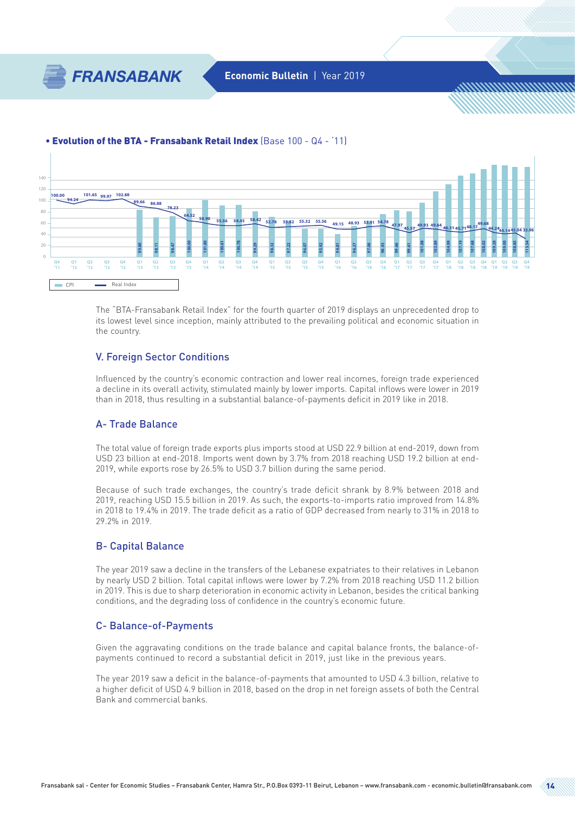

<u>MMMMMMMMMh</u>

#### • Evolution of the BTA - Fransabank Retail Index (Base 100 - Q4 - '11)



The "BTA-Fransabank Retail Index" for the fourth quarter of 2019 displays an unprecedented drop to its lowest level since inception, mainly attributed to the prevailing political and economic situation in the country.

### V. Foreign Sector Conditions

Influenced by the country's economic contraction and lower real incomes, foreign trade experienced a decline in its overall activity, stimulated mainly by lower imports. Capital inflows were lower in 2019 than in 2018, thus resulting in a substantial balance-of-payments deficit in 2019 like in 2018.

#### A- Trade Balance

The total value of foreign trade exports plus imports stood at USD 22.9 billion at end-2019, down from USD 23 billion at end-2018. Imports went down by 3.7% from 2018 reaching USD 19.2 billion at end-2019, while exports rose by 26.5% to USD 3.7 billion during the same period.

Because of such trade exchanges, the country's trade deficit shrank by 8.9% between 2018 and 2019, reaching USD 15.5 billion in 2019. As such, the exports-to-imports ratio improved from 14.8% in 2018 to 19.4% in 2019. The trade deficit as a ratio of GDP decreased from nearly to 31% in 2018 to 29.2% in 2019.

### B- Capital Balance

The year 2019 saw a decline in the transfers of the Lebanese expatriates to their relatives in Lebanon by nearly USD 2 billion. Total capital inflows were lower by 7.2% from 2018 reaching USD 11.2 billion in 2019. This is due to sharp deterioration in economic activity in Lebanon, besides the critical banking conditions, and the degrading loss of confidence in the country's economic future.

#### C- Balance-of-Payments

Given the aggravating conditions on the trade balance and capital balance fronts, the balance-ofpayments continued to record a substantial deficit in 2019, just like in the previous years.

The year 2019 saw a deficit in the balance-of-payments that amounted to USD 4.3 billion, relative to a higher deficit of USD 4.9 billion in 2018, based on the drop in net foreign assets of both the Central Bank and commercial banks.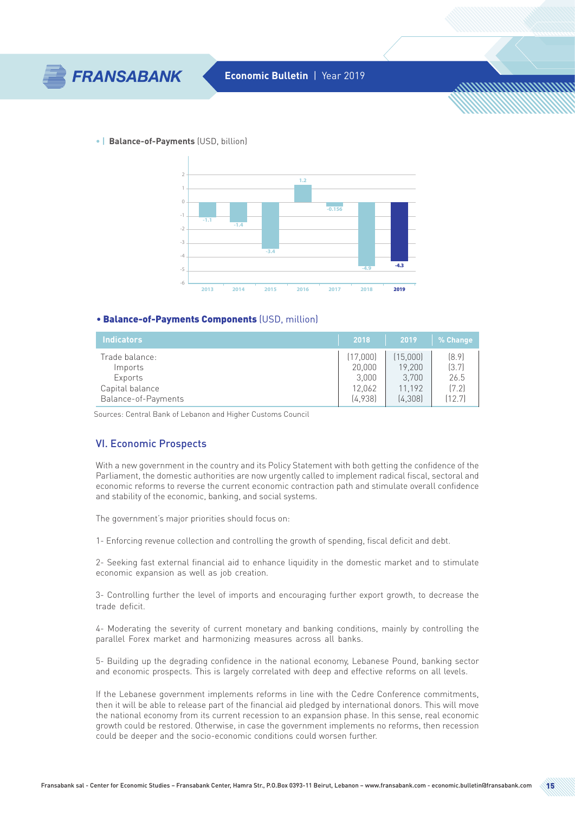

<u>MMMMMMMMMh</u>

#### **• | Balance-of-Payments** (USD, billion)



#### • Balance-of-Payments Components (USD, million)

| 'Indicators         | 2018     | 2019     | % Change |
|---------------------|----------|----------|----------|
| Trade balance:      | (17,000) | (15,000) | [8.9]    |
| Imports             | 20,000   | 19.200   | (3.7)    |
| Exports             | 3.000    | 3.700    | 26.5     |
| Capital balance     | 12.062   | 11.192   | [7.2]    |
| Balance-of-Payments | [4.938]  | (4,308)  | (12.7)   |

Sources: Central Bank of Lebanon and Higher Customs Council

#### VI. Economic Prospects

With a new government in the country and its Policy Statement with both getting the confidence of the Parliament, the domestic authorities are now urgently called to implement radical fiscal, sectoral and economic reforms to reverse the current economic contraction path and stimulate overall confidence and stability of the economic, banking, and social systems.

The government's major priorities should focus on:

1- Enforcing revenue collection and controlling the growth of spending, fiscal deficit and debt.

2- Seeking fast external financial aid to enhance liquidity in the domestic market and to stimulate economic expansion as well as job creation.

3- Controlling further the level of imports and encouraging further export growth, to decrease the trade deficit.

4- Moderating the severity of current monetary and banking conditions, mainly by controlling the parallel Forex market and harmonizing measures across all banks.

5- Building up the degrading confidence in the national economy, Lebanese Pound, banking sector and economic prospects. This is largely correlated with deep and effective reforms on all levels.

If the Lebanese government implements reforms in line with the Cedre Conference commitments, then it will be able to release part of the financial aid pledged by international donors. This will move the national economy from its current recession to an expansion phase. In this sense, real economic growth could be restored. Otherwise, in case the government implements no reforms, then recession could be deeper and the socio-economic conditions could worsen further.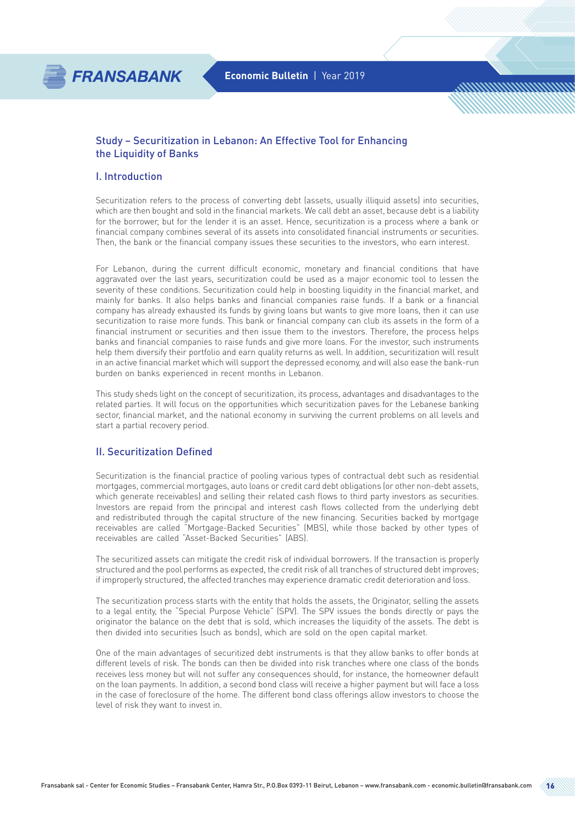

<u>MMMMMMMMm</u>

### Study – Securitization in Lebanon: An Effective Tool for Enhancing the Liquidity of Banks

### I. Introduction

Securitization refers to the process of converting debt (assets, usually illiquid assets) into securities, which are then bought and sold in the financial markets. We call debt an asset, because debt is a liability for the borrower, but for the lender it is an asset. Hence, securitization is a process where a bank or financial company combines several of its assets into consolidated financial instruments or securities. Then, the bank or the financial company issues these securities to the investors, who earn interest.

For Lebanon, during the current difficult economic, monetary and financial conditions that have aggravated over the last years, securitization could be used as a major economic tool to lessen the severity of these conditions. Securitization could help in boosting liquidity in the financial market, and mainly for banks. It also helps banks and financial companies raise funds. If a bank or a financial company has already exhausted its funds by giving loans but wants to give more loans, then it can use securitization to raise more funds. This bank or financial company can club its assets in the form of a financial instrument or securities and then issue them to the investors. Therefore, the process helps banks and financial companies to raise funds and give more loans. For the investor, such instruments help them diversify their portfolio and earn quality returns as well. In addition, securitization will result in an active financial market which will support the depressed economy, and will also ease the bank-run burden on banks experienced in recent months in Lebanon.

This study sheds light on the concept of securitization, its process, advantages and disadvantages to the related parties. It will focus on the opportunities which securitization paves for the Lebanese banking sector, financial market, and the national economy in surviving the current problems on all levels and start a partial recovery period.

### II. Securitization Defined

Securitization is the financial practice of pooling various types of contractual debt such as residential mortgages, commercial mortgages, auto loans or credit card debt obligations (or other non-debt assets, which generate receivables) and selling their related cash flows to third party investors as securities. Investors are repaid from the principal and interest cash flows collected from the underlying debt and redistributed through the capital structure of the new financing. Securities backed by mortgage receivables are called "Mortgage-Backed Securities" (MBS), while those backed by other types of receivables are called "Asset-Backed Securities" (ABS).

The securitized assets can mitigate the credit risk of individual borrowers. If the transaction is properly structured and the pool performs as expected, the credit risk of all tranches of structured debt improves; if improperly structured, the affected tranches may experience dramatic credit deterioration and loss.

The securitization process starts with the entity that holds the assets, the Originator, selling the assets to a legal entity, the "Special Purpose Vehicle" (SPV). The SPV issues the bonds directly or pays the originator the balance on the debt that is sold, which increases the liquidity of the assets. The debt is then divided into securities (such as bonds), which are sold on the open capital market.

One of the main advantages of securitized debt instruments is that they allow banks to offer bonds at different levels of risk. The bonds can then be divided into risk tranches where one class of the bonds receives less money but will not suffer any consequences should, for instance, the homeowner default on the loan payments. In addition, a second bond class will receive a higher payment but will face a loss in the case of foreclosure of the home. The different bond class offerings allow investors to choose the level of risk they want to invest in.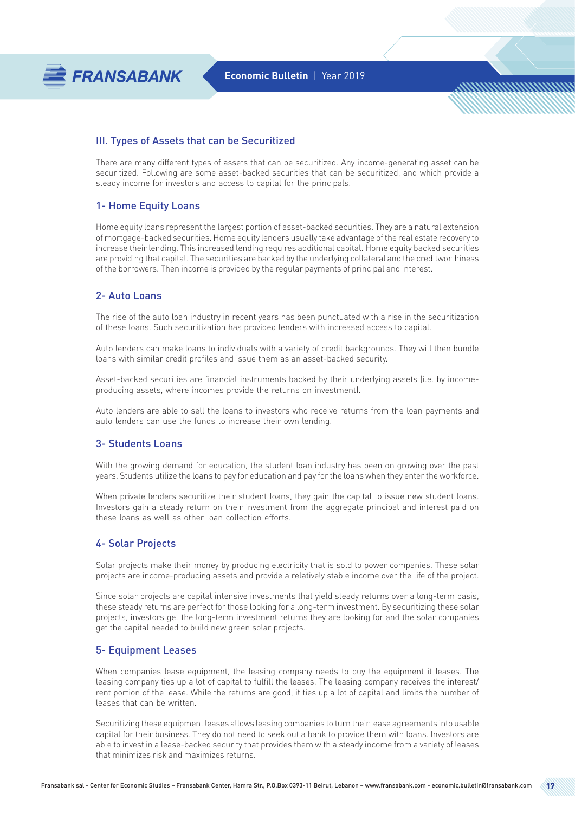

<u>MMMMMMMMMh</u>

### III. Types of Assets that can be Securitized

There are many different types of assets that can be securitized. Any income-generating asset can be securitized. Following are some asset-backed securities that can be securitized, and which provide a steady income for investors and access to capital for the principals.

### 1- Home Equity Loans

Home equity loans represent the largest portion of asset-backed securities. They are a natural extension of mortgage-backed securities. Home equity lenders usually take advantage of the real estate recovery to increase their lending. This increased lending requires additional capital. Home equity backed securities are providing that capital. The securities are backed by the underlying collateral and the creditworthiness of the borrowers. Then income is provided by the regular payments of principal and interest.

### 2- Auto Loans

The rise of the auto loan industry in recent years has been punctuated with a rise in the securitization of these loans. Such securitization has provided lenders with increased access to capital.

Auto lenders can make loans to individuals with a variety of credit backgrounds. They will then bundle loans with similar credit profiles and issue them as an asset-backed security.

Asset-backed securities are financial instruments backed by their underlying assets (i.e. by incomeproducing assets, where incomes provide the returns on investment).

Auto lenders are able to sell the loans to investors who receive returns from the loan payments and auto lenders can use the funds to increase their own lending.

### 3- Students Loans

With the growing demand for education, the student loan industry has been on growing over the past years. Students utilize the loans to pay for education and pay for the loans when they enter the workforce.

When private lenders securitize their student loans, they gain the capital to issue new student loans. Investors gain a steady return on their investment from the aggregate principal and interest paid on these loans as well as other loan collection efforts.

#### 4- Solar Projects

Solar projects make their money by producing electricity that is sold to power companies. These solar projects are income-producing assets and provide a relatively stable income over the life of the project.

Since solar projects are capital intensive investments that yield steady returns over a long-term basis, these steady returns are perfect for those looking for a long-term investment. By securitizing these solar projects, investors get the long-term investment returns they are looking for and the solar companies get the capital needed to build new green solar projects.

### 5- Equipment Leases

When companies lease equipment, the leasing company needs to buy the equipment it leases. The leasing company ties up a lot of capital to fulfill the leases. The leasing company receives the interest/ rent portion of the lease. While the returns are good, it ties up a lot of capital and limits the number of leases that can be written.

Securitizing these equipment leases allows leasing companies to turn their lease agreements into usable capital for their business. They do not need to seek out a bank to provide them with loans. Investors are able to invest in a lease-backed security that provides them with a steady income from a variety of leases that minimizes risk and maximizes returns.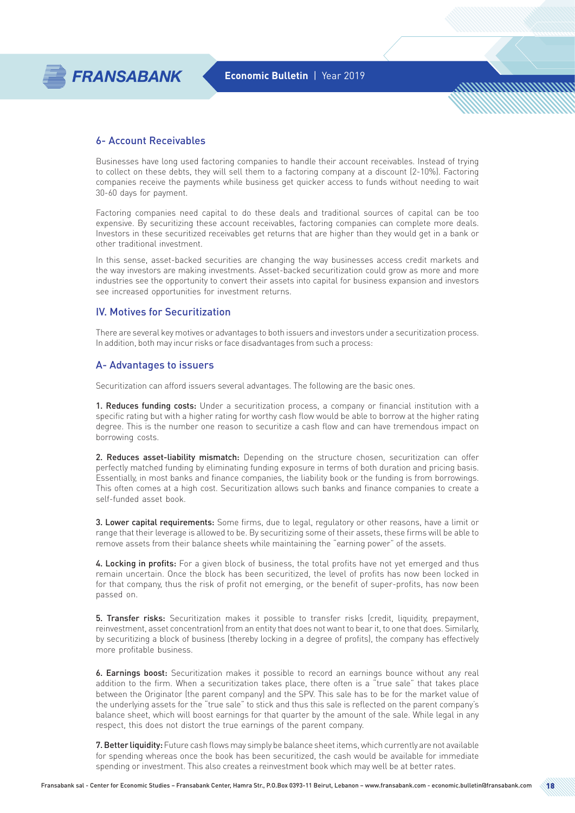

<u>MMMMMMMMMh</u>

### 6- Account Receivables

Businesses have long used factoring companies to handle their account receivables. Instead of trying to collect on these debts, they will sell them to a factoring company at a discount (2-10%). Factoring companies receive the payments while business get quicker access to funds without needing to wait 30-60 days for payment.

Factoring companies need capital to do these deals and traditional sources of capital can be too expensive. By securitizing these account receivables, factoring companies can complete more deals. Investors in these securitized receivables get returns that are higher than they would get in a bank or other traditional investment.

In this sense, asset-backed securities are changing the way businesses access credit markets and the way investors are making investments. Asset-backed securitization could grow as more and more industries see the opportunity to convert their assets into capital for business expansion and investors see increased opportunities for investment returns.

### IV. Motives for Securitization

There are several key motives or advantages to both issuers and investors under a securitization process. In addition, both may incur risks or face disadvantages from such a process:

#### A- Advantages to issuers

Securitization can afford issuers several advantages. The following are the basic ones.

1. Reduces funding costs: Under a securitization process, a company or financial institution with a specific rating but with a higher rating for worthy cash flow would be able to borrow at the higher rating degree. This is the number one reason to securitize a cash flow and can have tremendous impact on borrowing costs.

2. Reduces asset-liability mismatch: Depending on the structure chosen, securitization can offer perfectly matched funding by eliminating funding exposure in terms of both duration and pricing basis. Essentially, in most banks and finance companies, the liability book or the funding is from borrowings. This often comes at a high cost. Securitization allows such banks and finance companies to create a self-funded asset book.

3. Lower capital requirements: Some firms, due to legal, requlatory or other reasons, have a limit or range that their leverage is allowed to be. By securitizing some of their assets, these firms will be able to remove assets from their balance sheets while maintaining the "earning power" of the assets.

4. Locking in profits: For a given block of business, the total profits have not yet emerged and thus remain uncertain. Once the block has been securitized, the level of profits has now been locked in for that company, thus the risk of profit not emerging, or the benefit of super-profits, has now been passed on.

5. Transfer risks: Securitization makes it possible to transfer risks (credit, liquidity, prepayment, reinvestment, asset concentration) from an entity that does not want to bear it, to one that does. Similarly, by securitizing a block of business (thereby locking in a degree of profits), the company has effectively more profitable business.

6. Earnings boost: Securitization makes it possible to record an earnings bounce without any real addition to the firm. When a securitization takes place, there often is a "true sale" that takes place between the Originator (the parent company) and the SPV. This sale has to be for the market value of the underlying assets for the "true sale" to stick and thus this sale is reflected on the parent company's balance sheet, which will boost earnings for that quarter by the amount of the sale. While legal in any respect, this does not distort the true earnings of the parent company.

7. Better liquidity: Future cash flows may simply be balance sheet items, which currently are not available for spending whereas once the book has been securitized, the cash would be available for immediate spending or investment. This also creates a reinvestment book which may well be at better rates.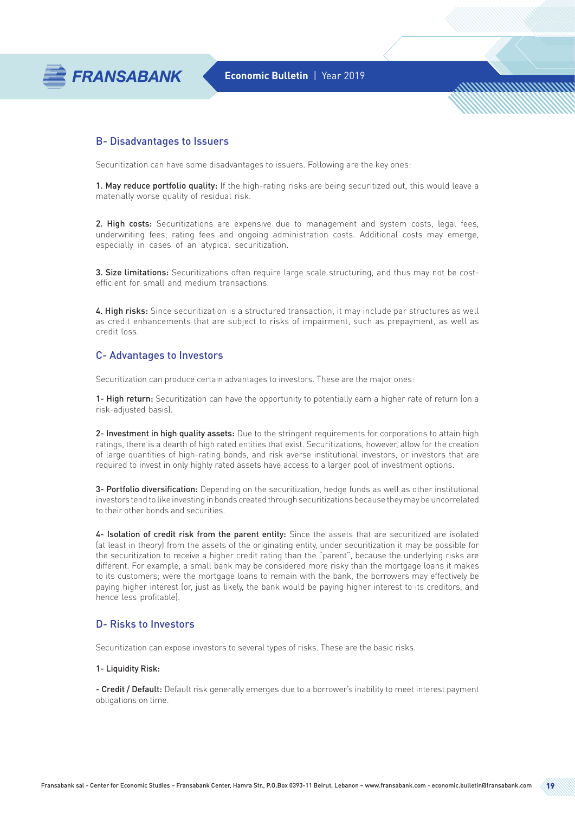

<u>MMMMMMMMhr.</u>

### B- Disadvantages to Issuers

Securitization can have some disadvantages to issuers. Following are the key ones:

1. May reduce portfolio quality: If the high-rating risks are being securitized out, this would leave a materially worse quality of residual risk.

2. High costs: Securitizations are expensive due to management and system costs, legal fees, underwriting fees, rating fees and ongoing administration costs. Additional costs may emerge, especially in cases of an atypical securitization.

3. Size limitations: Securitizations often require large scale structuring, and thus may not be costefficient for small and medium transactions.

4. High risks: Since securitization is a structured transaction, it may include par structures as well as credit enhancements that are subject to risks of impairment, such as prepayment, as well as credit loss.

### C- Advantages to Investors

Securitization can produce certain advantages to investors. These are the major ones:

1- High return: Securitization can have the opportunity to potentially earn a higher rate of return (on a risk-adjusted basis).

2- Investment in high quality assets: Due to the stringent requirements for corporations to attain high ratings, there is a dearth of high rated entities that exist. Securitizations, however, allow for the creation of large quantities of high-rating bonds, and risk averse institutional investors, or investors that are required to invest in only highly rated assets have access to a larger pool of investment options.

3- Portfolio diversification: Depending on the securitization, hedge funds as well as other institutional investors tend to like investing in bonds created through securitizations because they may be uncorrelated to their other bonds and securities.

4- Isolation of credit risk from the parent entity: Since the assets that are securitized are isolated (at least in theory) from the assets of the originating entity, under securitization it may be possible for the securitization to receive a higher credit rating than the "parent", because the underlying risks are different. For example, a small bank may be considered more risky than the mortgage loans it makes to its customers; were the mortgage loans to remain with the bank, the borrowers may effectively be paying higher interest (or, just as likely, the bank would be paying higher interest to its creditors, and hence less profitable).

#### D- Risks to Investors

Securitization can expose investors to several types of risks. These are the basic risks.

#### 1- Liquidity Risk:

- Credit / Default: Default risk generally emerges due to a borrower's inability to meet interest payment obligations on time.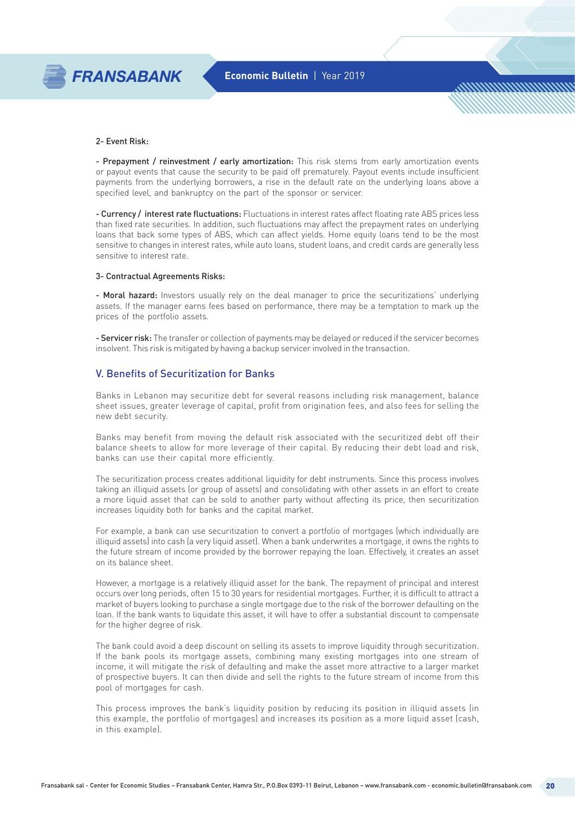

<u>MMMMMMMMMh</u>

#### 2- Event Risk:

- Prepayment / reinvestment / early amortization: This risk stems from early amortization events or payout events that cause the security to be paid off prematurely. Payout events include insufficient payments from the underlying borrowers, a rise in the default rate on the underlying loans above a specified level, and bankruptcy on the part of the sponsor or servicer.

- Currency / interest rate fluctuations: Fluctuations in interest rates affect floating rate ABS prices less than fixed rate securities. In addition, such fluctuations may affect the prepayment rates on underlying loans that back some types of ABS, which can affect yields. Home equity loans tend to be the most sensitive to changes in interest rates, while auto loans, student loans, and credit cards are generally less sensitive to interest rate.

#### 3- Contractual Agreements Risks:

- Moral hazard: Investors usually rely on the deal manager to price the securitizations' underlying assets. If the manager earns fees based on performance, there may be a temptation to mark up the prices of the portfolio assets.

- Servicer risk: The transfer or collection of payments may be delayed or reduced if the servicer becomes insolvent. This risk is mitigated by having a backup servicer involved in the transaction.

### V. Benefits of Securitization for Banks

Banks in Lebanon may securitize debt for several reasons including risk management, balance sheet issues, greater leverage of capital, profit from origination fees, and also fees for selling the new debt security.

Banks may benefit from moving the default risk associated with the securitized debt off their balance sheets to allow for more leverage of their capital. By reducing their debt load and risk, banks can use their capital more efficiently.

The securitization process creates additional liquidity for debt instruments. Since this process involves taking an illiquid assets (or group of assets) and consolidating with other assets in an effort to create a more liquid asset that can be sold to another party without affecting its price, then securitization increases liquidity both for banks and the capital market.

For example, a bank can use securitization to convert a portfolio of mortgages (which individually are illiquid assets) into cash (a very liquid asset). When a bank underwrites a mortgage, it owns the rights to the future stream of income provided by the borrower repaying the loan. Effectively, it creates an asset on its balance sheet.

However, a mortgage is a relatively illiquid asset for the bank. The repayment of principal and interest occurs over long periods, often 15 to 30 years for residential mortgages. Further, it is difficult to attract a market of buyers looking to purchase a single mortgage due to the risk of the borrower defaulting on the loan. If the bank wants to liquidate this asset, it will have to offer a substantial discount to compensate for the higher degree of risk.

The bank could avoid a deep discount on selling its assets to improve liquidity through securitization. If the bank pools its mortgage assets, combining many existing mortgages into one stream of income, it will mitigate the risk of defaulting and make the asset more attractive to a larger market of prospective buyers. It can then divide and sell the rights to the future stream of income from this pool of mortgages for cash.

This process improves the bank's liquidity position by reducing its position in illiquid assets (in this example, the portfolio of mortgages) and increases its position as a more liquid asset (cash, in this example).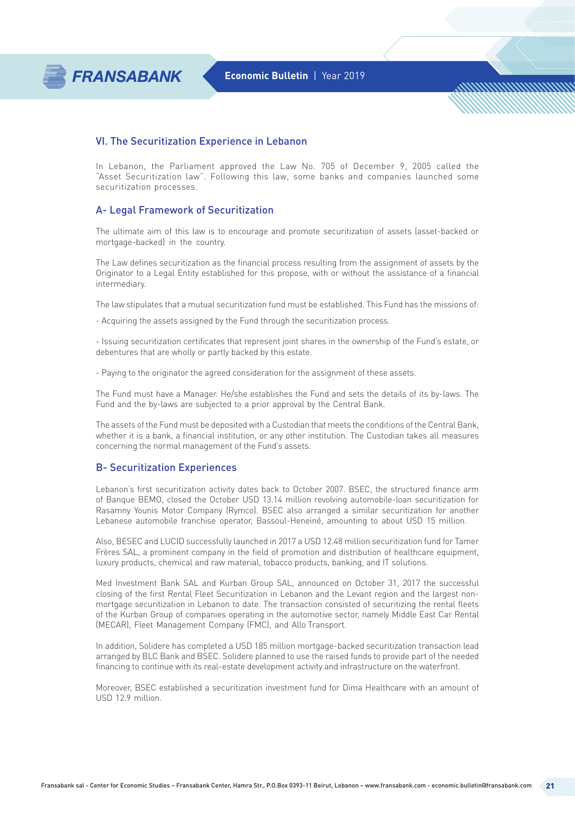

<u>MMMMMMMMm</u>

### VI. The Securitization Experience in Lebanon

In Lebanon, the Parliament approved the Law No. 705 of December 9, 2005 called the "Asset Securitization law". Following this law, some banks and companies launched some securitization processes.

### A- Legal Framework of Securitization

The ultimate aim of this law is to encourage and promote securitization of assets (asset-backed or mortgage-backed) in the country.

The Law defines securitization as the financial process resulting from the assignment of assets by the Originator to a Legal Entity established for this propose, with or without the assistance of a financial intermediary.

The law stipulates that a mutual securitization fund must be established. This Fund has the missions of:

- Acquiring the assets assigned by the Fund through the securitization process.

- Issuing securitization certificates that represent joint shares in the ownership of the Fund's estate, or debentures that are wholly or partly backed by this estate.

- Paying to the originator the agreed consideration for the assignment of these assets.

The Fund must have a Manager. He/she establishes the Fund and sets the details of its by-laws. The Fund and the by-laws are subjected to a prior approval by the Central Bank.

The assets of the Fund must be deposited with a Custodian that meets the conditions of the Central Bank, whether it is a bank, a financial institution, or any other institution. The Custodian takes all measures concerning the normal management of the Fund's assets.

### B- Securitization Experiences

Lebanon's first securitization activity dates back to October 2007. BSEC, the structured finance arm of Banque BEMO, closed the October USD 13.14 million revolving automobile-loan securitization for Rasamny Younis Motor Company (Rymco). BSEC also arranged a similar securitization for another Lebanese automobile franchise operator, Bassoul-Heneiné, amounting to about USD 15 million.

Also, BESEC and LUCID successfully launched in 2017 a USD 12.48 million securitization fund for Tamer Frères SAL, a prominent company in the field of promotion and distribution of healthcare equipment, luxury products, chemical and raw material, tobacco products, banking, and IT solutions.

Med Investment Bank SAL and Kurban Group SAL, announced on October 31, 2017 the successful closing of the first Rental Fleet Securitization in Lebanon and the Levant region and the largest nonmortgage securitization in Lebanon to date. The transaction consisted of securitizing the rental fleets of the Kurban Group of companies operating in the automotive sector, namely Middle East Car Rental (MECAR), Fleet Management Company (FMC), and Allo Transport.

In addition, Solidere has completed a USD 185 million mortgage-backed securitization transaction lead arranged by BLC Bank and BSEC. Solidere planned to use the raised funds to provide part of the needed financing to continue with its real-estate development activity and infrastructure on the waterfront.

Moreover, BSEC established a securitization investment fund for Dima Healthcare with an amount of USD 12.9 million.